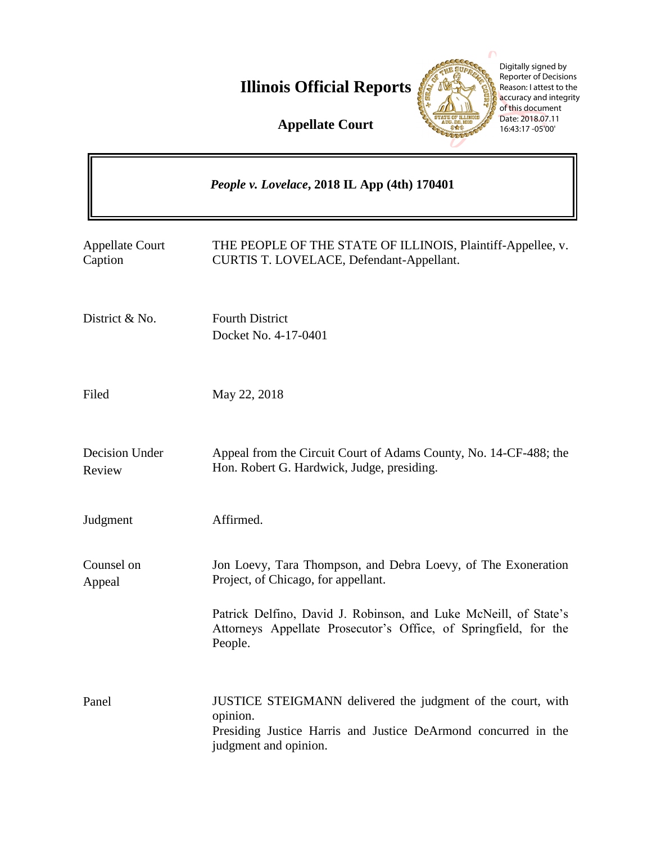**Illinois Official Reports** 

**Appellate Court**



Digitally signed by Reporter of Decisions Reason: I attest to the accuracy and integrity of this document Date: 2018.07.11 16:43:17 -05'00'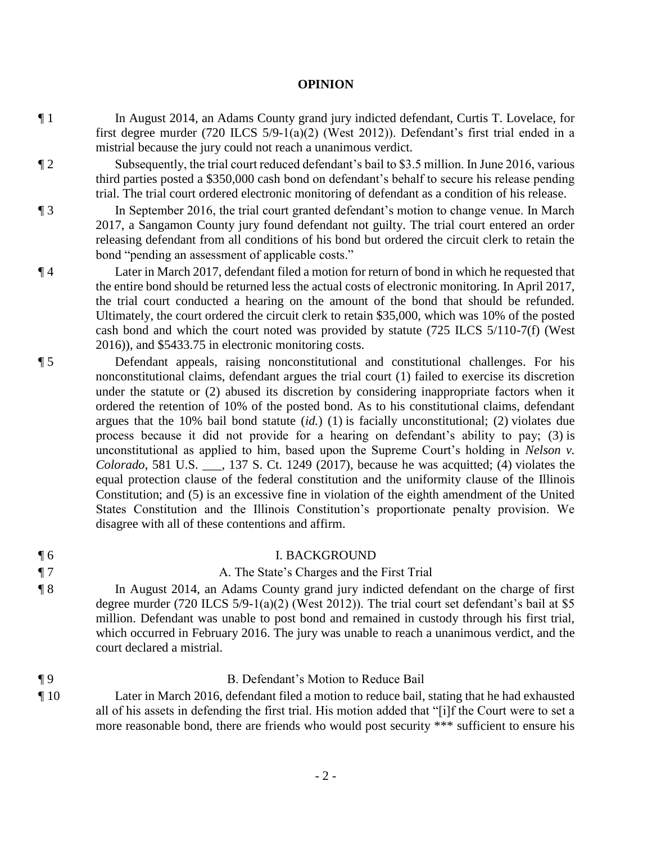### **OPINION**

- ¶ 1 In August 2014, an Adams County grand jury indicted defendant, Curtis T. Lovelace, for first degree murder (720 ILCS 5/9-1(a)(2) (West 2012)). Defendant's first trial ended in a mistrial because the jury could not reach a unanimous verdict.
- ¶ 2 Subsequently, the trial court reduced defendant's bail to \$3.5 million. In June 2016, various third parties posted a \$350,000 cash bond on defendant's behalf to secure his release pending trial. The trial court ordered electronic monitoring of defendant as a condition of his release.
- ¶ 3 In September 2016, the trial court granted defendant's motion to change venue. In March 2017, a Sangamon County jury found defendant not guilty. The trial court entered an order releasing defendant from all conditions of his bond but ordered the circuit clerk to retain the bond "pending an assessment of applicable costs."
- ¶ 4 Later in March 2017, defendant filed a motion for return of bond in which he requested that the entire bond should be returned less the actual costs of electronic monitoring. In April 2017, the trial court conducted a hearing on the amount of the bond that should be refunded. Ultimately, the court ordered the circuit clerk to retain \$35,000, which was 10% of the posted cash bond and which the court noted was provided by statute (725 ILCS 5/110-7(f) (West 2016)), and \$5433.75 in electronic monitoring costs.
- ¶ 5 Defendant appeals, raising nonconstitutional and constitutional challenges. For his nonconstitutional claims, defendant argues the trial court (1) failed to exercise its discretion under the statute or (2) abused its discretion by considering inappropriate factors when it ordered the retention of 10% of the posted bond. As to his constitutional claims, defendant argues that the 10% bail bond statute (*id.*) (1) is facially unconstitutional; (2) violates due process because it did not provide for a hearing on defendant's ability to pay; (3) is unconstitutional as applied to him, based upon the Supreme Court's holding in *Nelson v. Colorado*, 581 U.S. \_\_\_, 137 S. Ct. 1249 (2017), because he was acquitted; (4) violates the equal protection clause of the federal constitution and the uniformity clause of the Illinois Constitution; and (5) is an excessive fine in violation of the eighth amendment of the United States Constitution and the Illinois Constitution's proportionate penalty provision. We disagree with all of these contentions and affirm.

### ¶ 6 I. BACKGROUND

# ¶ 7 A. The State's Charges and the First Trial

- ¶ 8 In August 2014, an Adams County grand jury indicted defendant on the charge of first degree murder (720 ILCS 5/9-1(a)(2) (West 2012)). The trial court set defendant's bail at \$5 million. Defendant was unable to post bond and remained in custody through his first trial, which occurred in February 2016. The jury was unable to reach a unanimous verdict, and the court declared a mistrial.
- ¶ 9 B. Defendant's Motion to Reduce Bail ¶ 10 Later in March 2016, defendant filed a motion to reduce bail, stating that he had exhausted all of his assets in defending the first trial. His motion added that "[i]f the Court were to set a more reasonable bond, there are friends who would post security \*\*\* sufficient to ensure his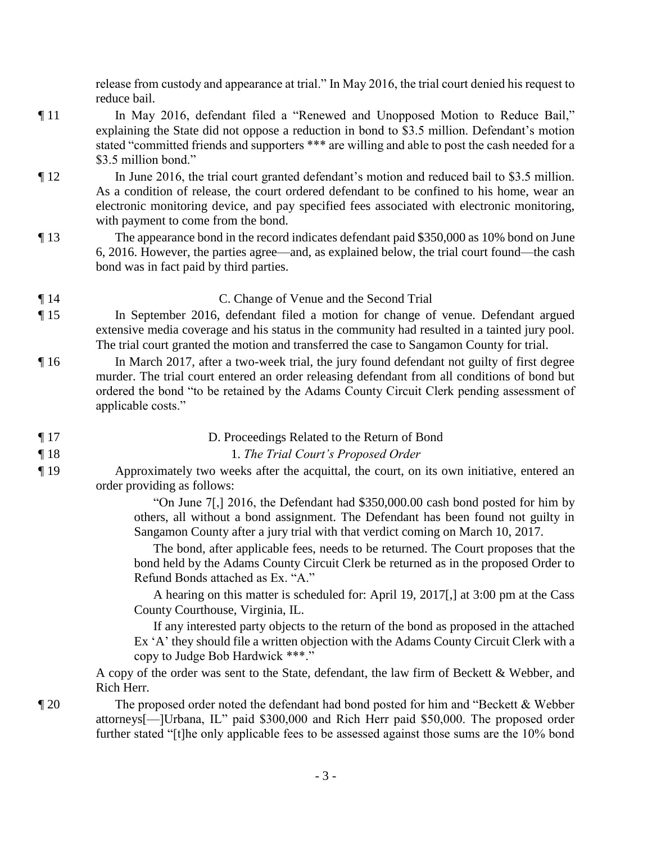release from custody and appearance at trial." In May 2016, the trial court denied his request to reduce bail.

- ¶ 11 In May 2016, defendant filed a "Renewed and Unopposed Motion to Reduce Bail," explaining the State did not oppose a reduction in bond to \$3.5 million. Defendant's motion stated "committed friends and supporters \*\*\* are willing and able to post the cash needed for a \$3.5 million bond."
- ¶ 12 In June 2016, the trial court granted defendant's motion and reduced bail to \$3.5 million. As a condition of release, the court ordered defendant to be confined to his home, wear an electronic monitoring device, and pay specified fees associated with electronic monitoring, with payment to come from the bond.
- ¶ 13 The appearance bond in the record indicates defendant paid \$350,000 as 10% bond on June 6, 2016. However, the parties agree—and, as explained below, the trial court found—the cash bond was in fact paid by third parties.

# ¶ 14 C. Change of Venue and the Second Trial

- ¶ 15 In September 2016, defendant filed a motion for change of venue. Defendant argued extensive media coverage and his status in the community had resulted in a tainted jury pool. The trial court granted the motion and transferred the case to Sangamon County for trial.
- ¶ 16 In March 2017, after a two-week trial, the jury found defendant not guilty of first degree murder. The trial court entered an order releasing defendant from all conditions of bond but ordered the bond "to be retained by the Adams County Circuit Clerk pending assessment of applicable costs."

### ¶ 17 D. Proceedings Related to the Return of Bond

- ¶ 18 1. *The Trial Court's Proposed Order*
- ¶ 19 Approximately two weeks after the acquittal, the court, on its own initiative, entered an order providing as follows:

"On June 7[,] 2016, the Defendant had \$350,000.00 cash bond posted for him by others, all without a bond assignment. The Defendant has been found not guilty in Sangamon County after a jury trial with that verdict coming on March 10, 2017.

 The bond, after applicable fees, needs to be returned. The Court proposes that the bond held by the Adams County Circuit Clerk be returned as in the proposed Order to Refund Bonds attached as Ex. "A."

 A hearing on this matter is scheduled for: April 19, 2017[,] at 3:00 pm at the Cass County Courthouse, Virginia, IL.

 If any interested party objects to the return of the bond as proposed in the attached Ex 'A' they should file a written objection with the Adams County Circuit Clerk with a copy to Judge Bob Hardwick \*\*\*."

A copy of the order was sent to the State, defendant, the law firm of Beckett & Webber, and Rich Herr.

¶ 20 The proposed order noted the defendant had bond posted for him and "Beckett & Webber attorneys[—]Urbana, IL" paid \$300,000 and Rich Herr paid \$50,000. The proposed order further stated "[t]he only applicable fees to be assessed against those sums are the 10% bond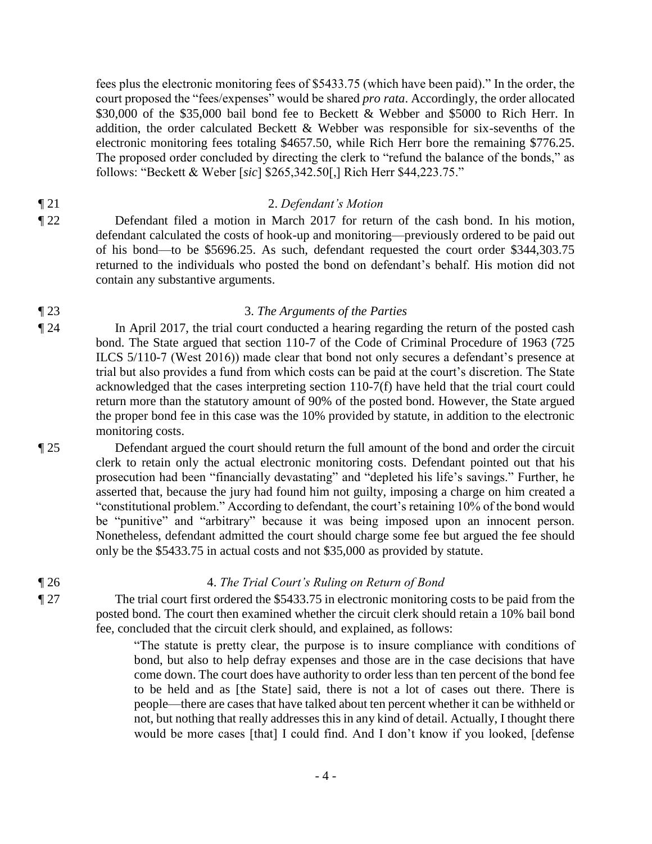fees plus the electronic monitoring fees of \$5433.75 (which have been paid)." In the order, the court proposed the "fees/expenses" would be shared *pro rata*. Accordingly, the order allocated \$30,000 of the \$35,000 bail bond fee to Beckett & Webber and \$5000 to Rich Herr. In addition, the order calculated Beckett & Webber was responsible for six-sevenths of the electronic monitoring fees totaling \$4657.50, while Rich Herr bore the remaining \$776.25. The proposed order concluded by directing the clerk to "refund the balance of the bonds," as follows: "Beckett & Weber [*sic*] \$265,342.50[,] Rich Herr \$44,223.75."

# ¶ 21 2. *Defendant's Motion*

¶ 22 Defendant filed a motion in March 2017 for return of the cash bond. In his motion, defendant calculated the costs of hook-up and monitoring—previously ordered to be paid out of his bond—to be \$5696.25. As such, defendant requested the court order \$344,303.75 returned to the individuals who posted the bond on defendant's behalf. His motion did not contain any substantive arguments.

# ¶ 23 3. *The Arguments of the Parties*

¶ 24 In April 2017, the trial court conducted a hearing regarding the return of the posted cash bond. The State argued that section 110-7 of the Code of Criminal Procedure of 1963 (725 ILCS 5/110-7 (West 2016)) made clear that bond not only secures a defendant's presence at trial but also provides a fund from which costs can be paid at the court's discretion. The State acknowledged that the cases interpreting section 110-7(f) have held that the trial court could return more than the statutory amount of 90% of the posted bond. However, the State argued the proper bond fee in this case was the 10% provided by statute, in addition to the electronic monitoring costs.

¶ 25 Defendant argued the court should return the full amount of the bond and order the circuit clerk to retain only the actual electronic monitoring costs. Defendant pointed out that his prosecution had been "financially devastating" and "depleted his life's savings." Further, he asserted that, because the jury had found him not guilty, imposing a charge on him created a "constitutional problem." According to defendant, the court's retaining 10% of the bond would be "punitive" and "arbitrary" because it was being imposed upon an innocent person. Nonetheless, defendant admitted the court should charge some fee but argued the fee should only be the \$5433.75 in actual costs and not \$35,000 as provided by statute.

# ¶ 26 4. *The Trial Court's Ruling on Return of Bond*

¶ 27 The trial court first ordered the \$5433.75 in electronic monitoring costs to be paid from the posted bond. The court then examined whether the circuit clerk should retain a 10% bail bond fee, concluded that the circuit clerk should, and explained, as follows:

> "The statute is pretty clear, the purpose is to insure compliance with conditions of bond, but also to help defray expenses and those are in the case decisions that have come down. The court does have authority to order less than ten percent of the bond fee to be held and as [the State] said, there is not a lot of cases out there. There is people—there are cases that have talked about ten percent whether it can be withheld or not, but nothing that really addresses this in any kind of detail. Actually, I thought there would be more cases [that] I could find. And I don't know if you looked, [defense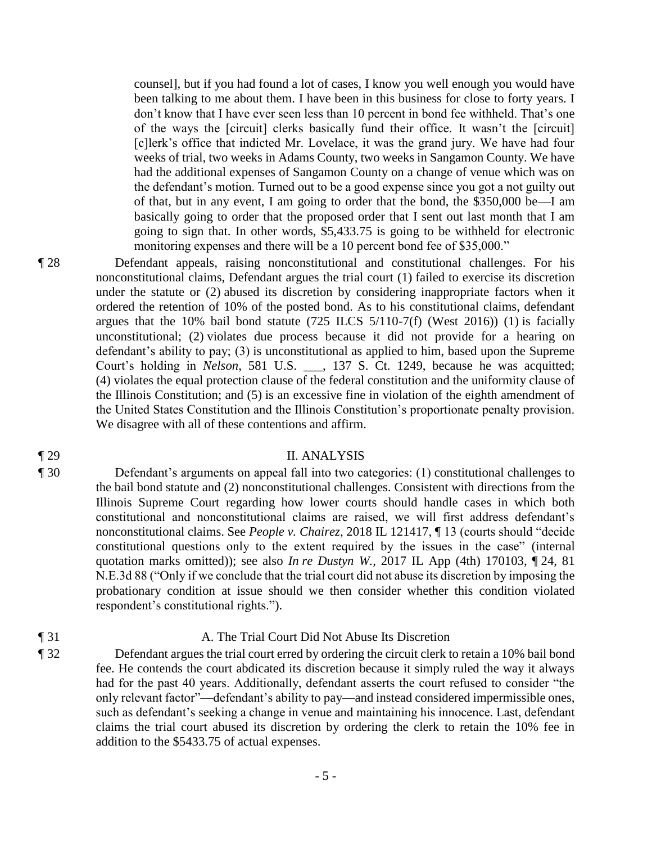counsel], but if you had found a lot of cases, I know you well enough you would have been talking to me about them. I have been in this business for close to forty years. I don't know that I have ever seen less than 10 percent in bond fee withheld. That's one of the ways the [circuit] clerks basically fund their office. It wasn't the [circuit] [c]lerk's office that indicted Mr. Lovelace, it was the grand jury. We have had four weeks of trial, two weeks in Adams County, two weeks in Sangamon County. We have had the additional expenses of Sangamon County on a change of venue which was on the defendant's motion. Turned out to be a good expense since you got a not guilty out of that, but in any event, I am going to order that the bond, the \$350,000 be—I am basically going to order that the proposed order that I sent out last month that I am going to sign that. In other words, \$5,433.75 is going to be withheld for electronic monitoring expenses and there will be a 10 percent bond fee of \$35,000."

¶ 28 Defendant appeals, raising nonconstitutional and constitutional challenges. For his nonconstitutional claims, Defendant argues the trial court (1) failed to exercise its discretion under the statute or (2) abused its discretion by considering inappropriate factors when it ordered the retention of 10% of the posted bond. As to his constitutional claims, defendant argues that the 10% bail bond statute  $(725$  ILCS  $5/110-7(f)$  (West 2016)) (1) is facially unconstitutional; (2) violates due process because it did not provide for a hearing on defendant's ability to pay; (3) is unconstitutional as applied to him, based upon the Supreme Court's holding in *Nelson*, 581 U.S. \_\_\_, 137 S. Ct. 1249, because he was acquitted; (4) violates the equal protection clause of the federal constitution and the uniformity clause of the Illinois Constitution; and (5) is an excessive fine in violation of the eighth amendment of the United States Constitution and the Illinois Constitution's proportionate penalty provision. We disagree with all of these contentions and affirm.

# ¶ 29 II. ANALYSIS

¶ 30 Defendant's arguments on appeal fall into two categories: (1) constitutional challenges to the bail bond statute and (2) nonconstitutional challenges. Consistent with directions from the Illinois Supreme Court regarding how lower courts should handle cases in which both constitutional and nonconstitutional claims are raised, we will first address defendant's nonconstitutional claims. See *People v. Chairez*, 2018 IL 121417, ¶ 13 (courts should "decide constitutional questions only to the extent required by the issues in the case" (internal quotation marks omitted)); see also *In re Dustyn W.*, 2017 IL App (4th) 170103, ¶ 24, 81 N.E.3d 88 ("Only if we conclude that the trial court did not abuse its discretion by imposing the probationary condition at issue should we then consider whether this condition violated respondent's constitutional rights.").

#### ¶ 31 A. The Trial Court Did Not Abuse Its Discretion

¶ 32 Defendant argues the trial court erred by ordering the circuit clerk to retain a 10% bail bond fee. He contends the court abdicated its discretion because it simply ruled the way it always had for the past 40 years. Additionally, defendant asserts the court refused to consider "the only relevant factor"—defendant's ability to pay—and instead considered impermissible ones, such as defendant's seeking a change in venue and maintaining his innocence. Last, defendant claims the trial court abused its discretion by ordering the clerk to retain the 10% fee in addition to the \$5433.75 of actual expenses.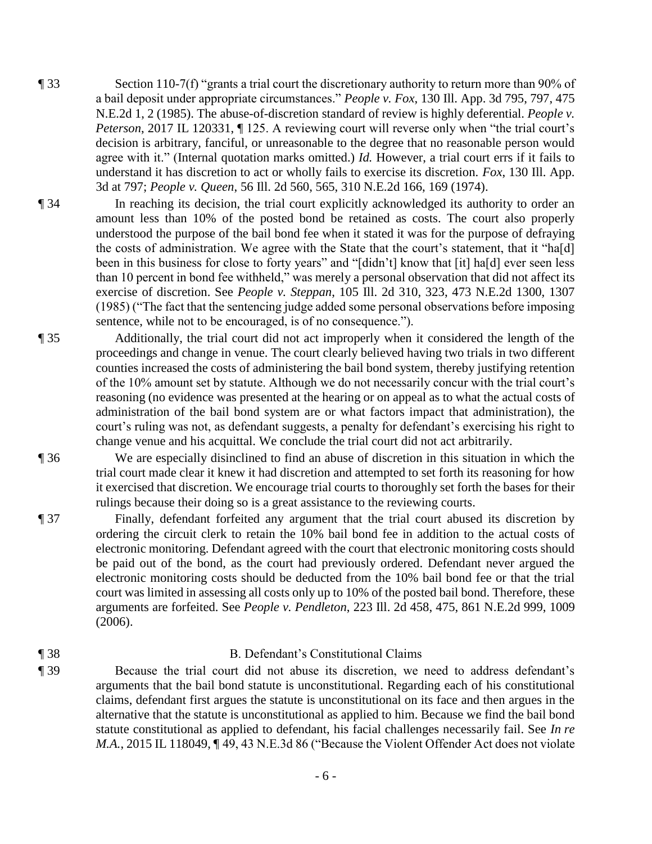- ¶ 33 Section 110-7(f) "grants a trial court the discretionary authority to return more than 90% of a bail deposit under appropriate circumstances." *People v. Fox*, 130 Ill. App. 3d 795, 797, 475 N.E.2d 1, 2 (1985). The abuse-of-discretion standard of review is highly deferential. *People v. Peterson*, 2017 IL 120331,  $\P$  125. A reviewing court will reverse only when "the trial court's decision is arbitrary, fanciful, or unreasonable to the degree that no reasonable person would agree with it." (Internal quotation marks omitted.) *Id.* However, a trial court errs if it fails to understand it has discretion to act or wholly fails to exercise its discretion. *Fox*, 130 Ill. App. 3d at 797; *People v. Queen*, 56 Ill. 2d 560, 565, 310 N.E.2d 166, 169 (1974).
- ¶ 34 In reaching its decision, the trial court explicitly acknowledged its authority to order an amount less than 10% of the posted bond be retained as costs. The court also properly understood the purpose of the bail bond fee when it stated it was for the purpose of defraying the costs of administration. We agree with the State that the court's statement, that it "ha[d] been in this business for close to forty years" and "[didn't] know that [it] ha[d] ever seen less than 10 percent in bond fee withheld," was merely a personal observation that did not affect its exercise of discretion. See *People v. Steppan*, 105 Ill. 2d 310, 323, 473 N.E.2d 1300, 1307 (1985) ("The fact that the sentencing judge added some personal observations before imposing sentence, while not to be encouraged, is of no consequence.").
- ¶ 35 Additionally, the trial court did not act improperly when it considered the length of the proceedings and change in venue. The court clearly believed having two trials in two different counties increased the costs of administering the bail bond system, thereby justifying retention of the 10% amount set by statute. Although we do not necessarily concur with the trial court's reasoning (no evidence was presented at the hearing or on appeal as to what the actual costs of administration of the bail bond system are or what factors impact that administration), the court's ruling was not, as defendant suggests, a penalty for defendant's exercising his right to change venue and his acquittal. We conclude the trial court did not act arbitrarily.

¶ 36 We are especially disinclined to find an abuse of discretion in this situation in which the trial court made clear it knew it had discretion and attempted to set forth its reasoning for how it exercised that discretion. We encourage trial courts to thoroughly set forth the bases for their rulings because their doing so is a great assistance to the reviewing courts.

¶ 37 Finally, defendant forfeited any argument that the trial court abused its discretion by ordering the circuit clerk to retain the 10% bail bond fee in addition to the actual costs of electronic monitoring. Defendant agreed with the court that electronic monitoring costs should be paid out of the bond, as the court had previously ordered. Defendant never argued the electronic monitoring costs should be deducted from the 10% bail bond fee or that the trial court was limited in assessing all costs only up to 10% of the posted bail bond. Therefore, these arguments are forfeited. See *People v. Pendleton*, 223 Ill. 2d 458, 475, 861 N.E.2d 999, 1009 (2006).

#### ¶ 38 B. Defendant's Constitutional Claims

¶ 39 Because the trial court did not abuse its discretion, we need to address defendant's arguments that the bail bond statute is unconstitutional. Regarding each of his constitutional claims, defendant first argues the statute is unconstitutional on its face and then argues in the alternative that the statute is unconstitutional as applied to him. Because we find the bail bond statute constitutional as applied to defendant, his facial challenges necessarily fail. See *In re M.A.*, 2015 IL 118049, ¶49, 43 N.E.3d 86 ("Because the Violent Offender Act does not violate

- 6 -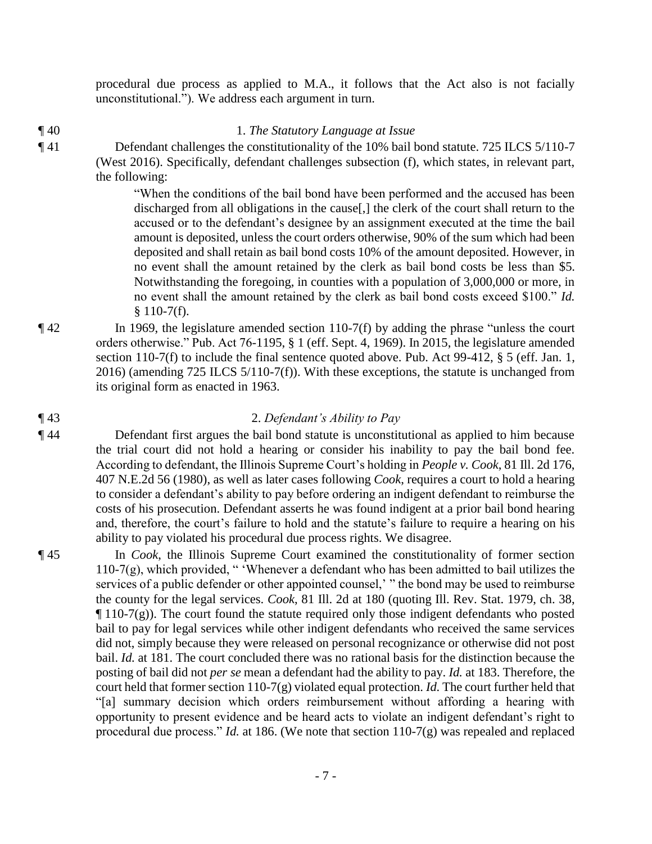procedural due process as applied to M.A., it follows that the Act also is not facially unconstitutional."). We address each argument in turn.

¶ 40 1. *The Statutory Language at Issue*  ¶ 41 Defendant challenges the constitutionality of the 10% bail bond statute. 725 ILCS 5/110-7 (West 2016). Specifically, defendant challenges subsection (f), which states, in relevant part, the following:

> "When the conditions of the bail bond have been performed and the accused has been discharged from all obligations in the cause[,] the clerk of the court shall return to the accused or to the defendant's designee by an assignment executed at the time the bail amount is deposited, unless the court orders otherwise, 90% of the sum which had been deposited and shall retain as bail bond costs 10% of the amount deposited. However, in no event shall the amount retained by the clerk as bail bond costs be less than \$5. Notwithstanding the foregoing, in counties with a population of 3,000,000 or more, in no event shall the amount retained by the clerk as bail bond costs exceed \$100." *Id.*  $$110-7(f).$

¶ 42 In 1969, the legislature amended section 110-7(f) by adding the phrase "unless the court orders otherwise." Pub. Act 76-1195, § 1 (eff. Sept. 4, 1969). In 2015, the legislature amended section 110-7(f) to include the final sentence quoted above. Pub. Act 99-412, § 5 (eff. Jan. 1, 2016) (amending 725 ILCS 5/110-7(f)). With these exceptions, the statute is unchanged from its original form as enacted in 1963.

# ¶ 43 2. *Defendant's Ability to Pay*

- ¶ 44 Defendant first argues the bail bond statute is unconstitutional as applied to him because the trial court did not hold a hearing or consider his inability to pay the bail bond fee. According to defendant, the Illinois Supreme Court's holding in *People v. Cook*, 81 Ill. 2d 176, 407 N.E.2d 56 (1980), as well as later cases following *Cook*, requires a court to hold a hearing to consider a defendant's ability to pay before ordering an indigent defendant to reimburse the costs of his prosecution. Defendant asserts he was found indigent at a prior bail bond hearing and, therefore, the court's failure to hold and the statute's failure to require a hearing on his ability to pay violated his procedural due process rights. We disagree.
- ¶ 45 In *Cook*, the Illinois Supreme Court examined the constitutionality of former section 110-7(g), which provided, " 'Whenever a defendant who has been admitted to bail utilizes the services of a public defender or other appointed counsel,' " the bond may be used to reimburse the county for the legal services. *Cook*, 81 Ill. 2d at 180 (quoting Ill. Rev. Stat. 1979, ch. 38,  $\P$  110-7(g)). The court found the statute required only those indigent defendants who posted bail to pay for legal services while other indigent defendants who received the same services did not, simply because they were released on personal recognizance or otherwise did not post bail. *Id.* at 181. The court concluded there was no rational basis for the distinction because the posting of bail did not *per se* mean a defendant had the ability to pay. *Id.* at 183. Therefore, the court held that former section 110-7(g) violated equal protection. *Id.* The court further held that "[a] summary decision which orders reimbursement without affording a hearing with opportunity to present evidence and be heard acts to violate an indigent defendant's right to procedural due process." *Id.* at 186. (We note that section 110-7(g) was repealed and replaced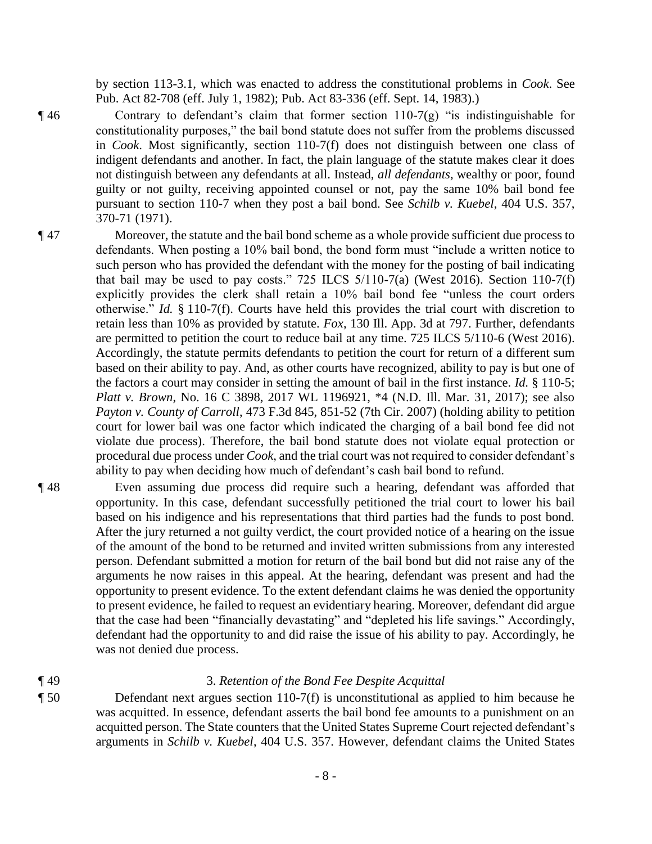by section 113-3.1, which was enacted to address the constitutional problems in *Cook*. See Pub. Act 82-708 (eff. July 1, 1982); Pub. Act 83-336 (eff. Sept. 14, 1983).)

- $\P$ 46 Contrary to defendant's claim that former section 110-7(g) "is indistinguishable for constitutionality purposes," the bail bond statute does not suffer from the problems discussed in *Cook*. Most significantly, section 110-7(f) does not distinguish between one class of indigent defendants and another. In fact, the plain language of the statute makes clear it does not distinguish between any defendants at all. Instead, *all defendants*, wealthy or poor, found guilty or not guilty, receiving appointed counsel or not, pay the same 10% bail bond fee pursuant to section 110-7 when they post a bail bond. See *Schilb v. Kuebel*, 404 U.S. 357, 370-71 (1971).
- ¶ 47 Moreover, the statute and the bail bond scheme as a whole provide sufficient due process to defendants. When posting a 10% bail bond, the bond form must "include a written notice to such person who has provided the defendant with the money for the posting of bail indicating that bail may be used to pay costs." 725 ILCS  $5/110-7(a)$  (West 2016). Section 110-7(f) explicitly provides the clerk shall retain a 10% bail bond fee "unless the court orders otherwise." *Id.* § 110-7(f). Courts have held this provides the trial court with discretion to retain less than 10% as provided by statute. *Fox*, 130 Ill. App. 3d at 797. Further, defendants are permitted to petition the court to reduce bail at any time. 725 ILCS 5/110-6 (West 2016). Accordingly, the statute permits defendants to petition the court for return of a different sum based on their ability to pay. And, as other courts have recognized, ability to pay is but one of the factors a court may consider in setting the amount of bail in the first instance. *Id.* § 110-5; *Platt v. Brown*, No. 16 C 3898, 2017 WL 1196921, \*4 (N.D. Ill. Mar. 31, 2017); see also *Payton v. County of Carroll*, 473 F.3d 845, 851-52 (7th Cir. 2007) (holding ability to petition court for lower bail was one factor which indicated the charging of a bail bond fee did not violate due process). Therefore, the bail bond statute does not violate equal protection or procedural due process under *Cook*, and the trial court was not required to consider defendant's ability to pay when deciding how much of defendant's cash bail bond to refund.
- ¶ 48 Even assuming due process did require such a hearing, defendant was afforded that opportunity. In this case, defendant successfully petitioned the trial court to lower his bail based on his indigence and his representations that third parties had the funds to post bond. After the jury returned a not guilty verdict, the court provided notice of a hearing on the issue of the amount of the bond to be returned and invited written submissions from any interested person. Defendant submitted a motion for return of the bail bond but did not raise any of the arguments he now raises in this appeal. At the hearing, defendant was present and had the opportunity to present evidence. To the extent defendant claims he was denied the opportunity to present evidence, he failed to request an evidentiary hearing. Moreover, defendant did argue that the case had been "financially devastating" and "depleted his life savings." Accordingly, defendant had the opportunity to and did raise the issue of his ability to pay. Accordingly, he was not denied due process.
- 

# ¶ 49 3. *Retention of the Bond Fee Despite Acquittal*

¶ 50 Defendant next argues section 110-7(f) is unconstitutional as applied to him because he was acquitted. In essence, defendant asserts the bail bond fee amounts to a punishment on an acquitted person. The State counters that the United States Supreme Court rejected defendant's arguments in *Schilb v. Kuebel*, 404 U.S. 357. However, defendant claims the United States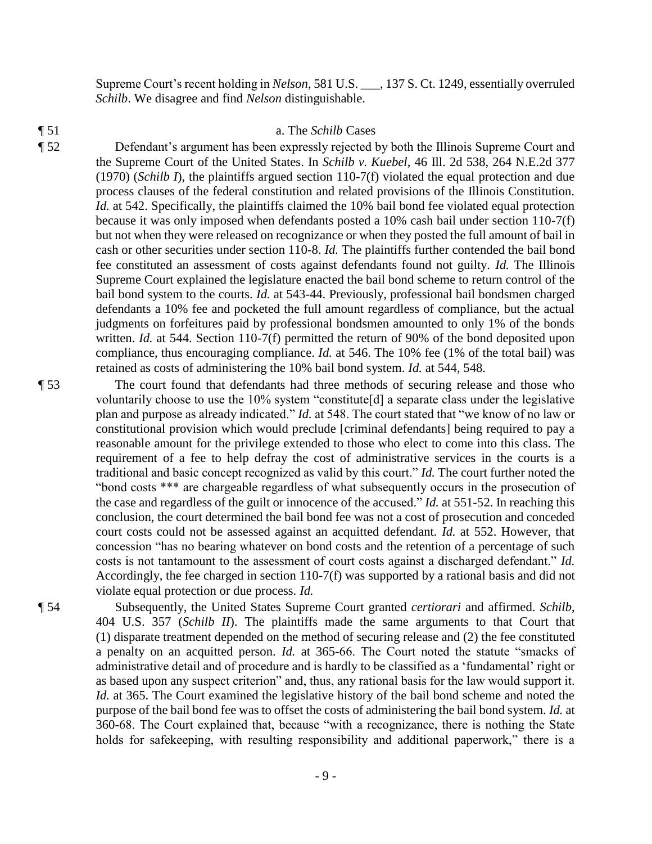Supreme Court's recent holding in *Nelson*, 581 U.S. \_\_\_, 137 S. Ct. 1249, essentially overruled *Schilb*. We disagree and find *Nelson* distinguishable.

#### ¶ 51 a. The *Schilb* Cases

¶ 52 Defendant's argument has been expressly rejected by both the Illinois Supreme Court and the Supreme Court of the United States. In *Schilb v. Kuebel*, 46 Ill. 2d 538, 264 N.E.2d 377 (1970) (*Schilb I*), the plaintiffs argued section 110-7(f) violated the equal protection and due process clauses of the federal constitution and related provisions of the Illinois Constitution. *Id.* at 542. Specifically, the plaintiffs claimed the 10% bail bond fee violated equal protection because it was only imposed when defendants posted a 10% cash bail under section 110-7(f) but not when they were released on recognizance or when they posted the full amount of bail in cash or other securities under section 110-8. *Id.* The plaintiffs further contended the bail bond fee constituted an assessment of costs against defendants found not guilty. *Id.* The Illinois Supreme Court explained the legislature enacted the bail bond scheme to return control of the bail bond system to the courts. *Id.* at 543-44. Previously, professional bail bondsmen charged defendants a 10% fee and pocketed the full amount regardless of compliance, but the actual judgments on forfeitures paid by professional bondsmen amounted to only 1% of the bonds written. *Id.* at 544. Section 110-7(f) permitted the return of 90% of the bond deposited upon compliance, thus encouraging compliance. *Id.* at 546. The 10% fee (1% of the total bail) was retained as costs of administering the 10% bail bond system. *Id.* at 544, 548.

¶ 53 The court found that defendants had three methods of securing release and those who voluntarily choose to use the 10% system "constitute[d] a separate class under the legislative plan and purpose as already indicated." *Id.* at 548. The court stated that "we know of no law or constitutional provision which would preclude [criminal defendants] being required to pay a reasonable amount for the privilege extended to those who elect to come into this class. The requirement of a fee to help defray the cost of administrative services in the courts is a traditional and basic concept recognized as valid by this court." *Id.* The court further noted the "bond costs \*\*\* are chargeable regardless of what subsequently occurs in the prosecution of the case and regardless of the guilt or innocence of the accused." *Id.* at 551-52. In reaching this conclusion, the court determined the bail bond fee was not a cost of prosecution and conceded court costs could not be assessed against an acquitted defendant. *Id.* at 552. However, that concession "has no bearing whatever on bond costs and the retention of a percentage of such costs is not tantamount to the assessment of court costs against a discharged defendant." *Id.* Accordingly, the fee charged in section 110-7(f) was supported by a rational basis and did not violate equal protection or due process. *Id.*

¶ 54 Subsequently, the United States Supreme Court granted *certiorari* and affirmed. *Schilb*, 404 U.S. 357 (*Schilb II*). The plaintiffs made the same arguments to that Court that (1) disparate treatment depended on the method of securing release and (2) the fee constituted a penalty on an acquitted person. *Id.* at 365-66. The Court noted the statute "smacks of administrative detail and of procedure and is hardly to be classified as a 'fundamental' right or as based upon any suspect criterion" and, thus, any rational basis for the law would support it. *Id.* at 365. The Court examined the legislative history of the bail bond scheme and noted the purpose of the bail bond fee was to offset the costs of administering the bail bond system. *Id.* at 360-68. The Court explained that, because "with a recognizance, there is nothing the State holds for safekeeping, with resulting responsibility and additional paperwork," there is a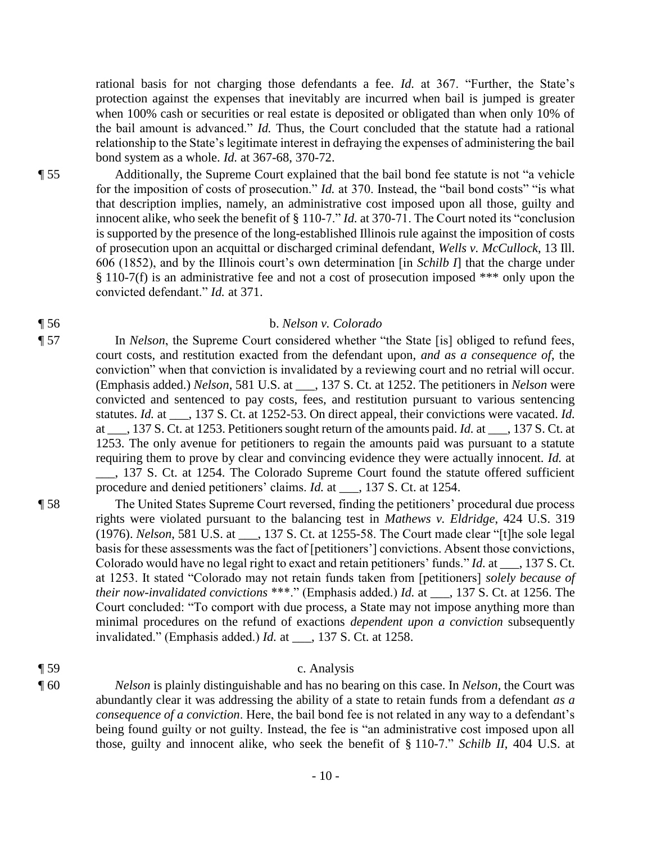rational basis for not charging those defendants a fee. *Id.* at 367. "Further, the State's protection against the expenses that inevitably are incurred when bail is jumped is greater when 100% cash or securities or real estate is deposited or obligated than when only 10% of the bail amount is advanced." *Id.* Thus, the Court concluded that the statute had a rational relationship to the State's legitimate interest in defraying the expenses of administering the bail bond system as a whole. *Id.* at 367-68, 370-72.

¶ 55 Additionally, the Supreme Court explained that the bail bond fee statute is not "a vehicle for the imposition of costs of prosecution." *Id.* at 370. Instead, the "bail bond costs" "is what that description implies, namely, an administrative cost imposed upon all those, guilty and innocent alike, who seek the benefit of § 110-7." *Id.* at 370-71. The Court noted its "conclusion is supported by the presence of the long-established Illinois rule against the imposition of costs of prosecution upon an acquittal or discharged criminal defendant, *Wells v. McCullock*, 13 Ill. 606 (1852), and by the Illinois court's own determination [in *Schilb I*] that the charge under § 110-7(f) is an administrative fee and not a cost of prosecution imposed \*\*\* only upon the convicted defendant." *Id.* at 371.

# ¶ 56 b. *Nelson v. Colorado*

¶ 57 In *Nelson*, the Supreme Court considered whether "the State [is] obliged to refund fees, court costs, and restitution exacted from the defendant upon, *and as a consequence of*, the conviction" when that conviction is invalidated by a reviewing court and no retrial will occur. (Emphasis added.) *Nelson*, 581 U.S. at \_\_\_, 137 S. Ct. at 1252. The petitioners in *Nelson* were convicted and sentenced to pay costs, fees, and restitution pursuant to various sentencing statutes. *Id.* at \_\_\_, 137 S. Ct. at 1252-53. On direct appeal, their convictions were vacated. *Id.* at \_\_\_, 137 S. Ct. at 1253. Petitioners sought return of the amounts paid. *Id.* at \_\_\_, 137 S. Ct. at 1253. The only avenue for petitioners to regain the amounts paid was pursuant to a statute requiring them to prove by clear and convincing evidence they were actually innocent. *Id.* at \_\_\_, 137 S. Ct. at 1254. The Colorado Supreme Court found the statute offered sufficient procedure and denied petitioners' claims. *Id.* at \_\_\_, 137 S. Ct. at 1254.

¶ 58 The United States Supreme Court reversed, finding the petitioners' procedural due process rights were violated pursuant to the balancing test in *Mathews v. Eldridge*, 424 U.S. 319 (1976). *Nelson*, 581 U.S. at \_\_\_, 137 S. Ct. at 1255-58. The Court made clear "[t]he sole legal basis for these assessments was the fact of [petitioners'] convictions. Absent those convictions, Colorado would have no legal right to exact and retain petitioners' funds." *Id.* at \_\_\_, 137 S. Ct. at 1253. It stated "Colorado may not retain funds taken from [petitioners] *solely because of their now-invalidated convictions* \*\*\*." (Emphasis added.) *Id.* at \_\_\_, 137 S. Ct. at 1256. The Court concluded: "To comport with due process, a State may not impose anything more than minimal procedures on the refund of exactions *dependent upon a conviction* subsequently invalidated." (Emphasis added.) *Id.* at \_\_\_, 137 S. Ct. at 1258.

# ¶ 59 c. Analysis

¶ 60 *Nelson* is plainly distinguishable and has no bearing on this case. In *Nelson*, the Court was abundantly clear it was addressing the ability of a state to retain funds from a defendant *as a consequence of a conviction*. Here, the bail bond fee is not related in any way to a defendant's being found guilty or not guilty. Instead, the fee is "an administrative cost imposed upon all those, guilty and innocent alike, who seek the benefit of § 110-7." *Schilb II*, 404 U.S. at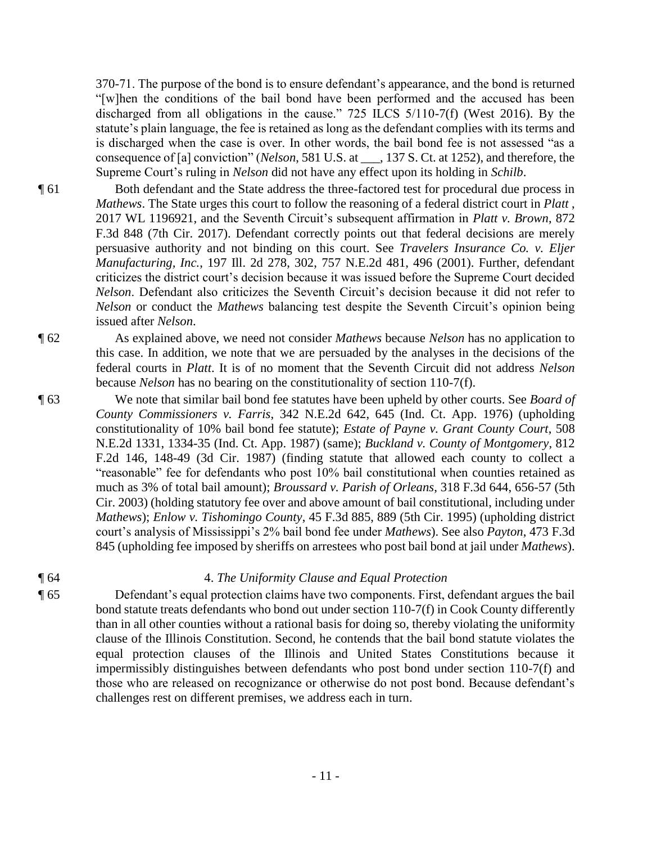370-71. The purpose of the bond is to ensure defendant's appearance, and the bond is returned "[w]hen the conditions of the bail bond have been performed and the accused has been discharged from all obligations in the cause." 725 ILCS 5/110-7(f) (West 2016). By the statute's plain language, the fee is retained as long as the defendant complies with its terms and is discharged when the case is over. In other words, the bail bond fee is not assessed "as a consequence of [a] conviction" (*Nelson*, 581 U.S. at \_\_\_, 137 S. Ct. at 1252), and therefore, the Supreme Court's ruling in *Nelson* did not have any effect upon its holding in *Schilb*.

¶ 61 Both defendant and the State address the three-factored test for procedural due process in *Mathews*. The State urges this court to follow the reasoning of a federal district court in *Platt* , 2017 WL 1196921, and the Seventh Circuit's subsequent affirmation in *Platt v. Brown*, 872 F.3d 848 (7th Cir. 2017). Defendant correctly points out that federal decisions are merely persuasive authority and not binding on this court. See *Travelers Insurance Co. v. Eljer Manufacturing, Inc.*, 197 Ill. 2d 278, 302, 757 N.E.2d 481, 496 (2001). Further, defendant criticizes the district court's decision because it was issued before the Supreme Court decided *Nelson*. Defendant also criticizes the Seventh Circuit's decision because it did not refer to *Nelson* or conduct the *Mathews* balancing test despite the Seventh Circuit's opinion being issued after *Nelson*.

¶ 62 As explained above, we need not consider *Mathews* because *Nelson* has no application to this case. In addition, we note that we are persuaded by the analyses in the decisions of the federal courts in *Platt*. It is of no moment that the Seventh Circuit did not address *Nelson* because *Nelson* has no bearing on the constitutionality of section 110-7(f).

¶ 63 We note that similar bail bond fee statutes have been upheld by other courts. See *Board of County Commissioners v. Farris*, 342 N.E.2d 642, 645 (Ind. Ct. App. 1976) (upholding constitutionality of 10% bail bond fee statute); *Estate of Payne v. Grant County Court*, 508 N.E.2d 1331, 1334-35 (Ind. Ct. App. 1987) (same); *Buckland v. County of Montgomery*, 812 F.2d 146, 148-49 (3d Cir. 1987) (finding statute that allowed each county to collect a "reasonable" fee for defendants who post 10% bail constitutional when counties retained as much as 3% of total bail amount); *Broussard v. Parish of Orleans*, 318 F.3d 644, 656-57 (5th Cir. 2003) (holding statutory fee over and above amount of bail constitutional, including under *Mathews*); *Enlow v. Tishomingo County*, 45 F.3d 885, 889 (5th Cir. 1995) (upholding district court's analysis of Mississippi's 2% bail bond fee under *Mathews*). See also *Payton*, 473 F.3d 845 (upholding fee imposed by sheriffs on arrestees who post bail bond at jail under *Mathews*).

# ¶ 64 4. *The Uniformity Clause and Equal Protection*

¶ 65 Defendant's equal protection claims have two components. First, defendant argues the bail bond statute treats defendants who bond out under section 110-7(f) in Cook County differently than in all other counties without a rational basis for doing so, thereby violating the uniformity clause of the Illinois Constitution. Second, he contends that the bail bond statute violates the equal protection clauses of the Illinois and United States Constitutions because it impermissibly distinguishes between defendants who post bond under section 110-7(f) and those who are released on recognizance or otherwise do not post bond. Because defendant's challenges rest on different premises, we address each in turn.

- 11 -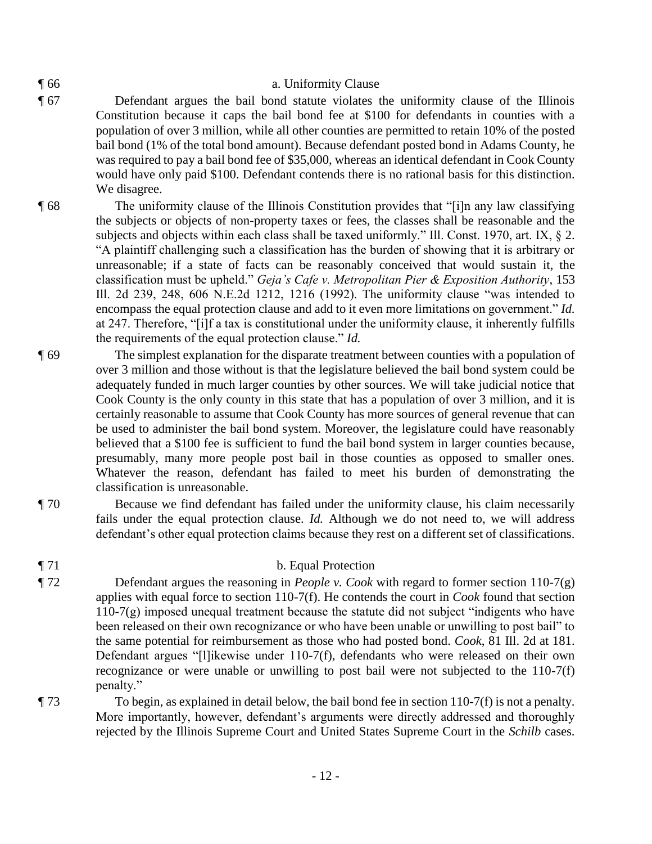# ¶ 66 a. Uniformity Clause

- ¶ 67 Defendant argues the bail bond statute violates the uniformity clause of the Illinois Constitution because it caps the bail bond fee at \$100 for defendants in counties with a population of over 3 million, while all other counties are permitted to retain 10% of the posted bail bond (1% of the total bond amount). Because defendant posted bond in Adams County, he was required to pay a bail bond fee of \$35,000, whereas an identical defendant in Cook County would have only paid \$100. Defendant contends there is no rational basis for this distinction. We disagree.
- ¶ 68 The uniformity clause of the Illinois Constitution provides that "[i]n any law classifying the subjects or objects of non-property taxes or fees, the classes shall be reasonable and the subjects and objects within each class shall be taxed uniformly." Ill. Const. 1970, art. IX, § 2. "A plaintiff challenging such a classification has the burden of showing that it is arbitrary or unreasonable; if a state of facts can be reasonably conceived that would sustain it, the classification must be upheld." *Geja's Cafe v. Metropolitan Pier & Exposition Authority*, 153 Ill. 2d 239, 248, 606 N.E.2d 1212, 1216 (1992). The uniformity clause "was intended to encompass the equal protection clause and add to it even more limitations on government." *Id.* at 247. Therefore, "[i]f a tax is constitutional under the uniformity clause, it inherently fulfills the requirements of the equal protection clause." *Id.*
- ¶ 69 The simplest explanation for the disparate treatment between counties with a population of over 3 million and those without is that the legislature believed the bail bond system could be adequately funded in much larger counties by other sources. We will take judicial notice that Cook County is the only county in this state that has a population of over 3 million, and it is certainly reasonable to assume that Cook County has more sources of general revenue that can be used to administer the bail bond system. Moreover, the legislature could have reasonably believed that a \$100 fee is sufficient to fund the bail bond system in larger counties because, presumably, many more people post bail in those counties as opposed to smaller ones. Whatever the reason, defendant has failed to meet his burden of demonstrating the classification is unreasonable.
- ¶ 70 Because we find defendant has failed under the uniformity clause, his claim necessarily fails under the equal protection clause. *Id.* Although we do not need to, we will address defendant's other equal protection claims because they rest on a different set of classifications.
- ¶ 71 b. Equal Protection
- ¶ 72 Defendant argues the reasoning in *People v. Cook* with regard to former section 110-7(g) applies with equal force to section 110-7(f). He contends the court in *Cook* found that section 110-7(g) imposed unequal treatment because the statute did not subject "indigents who have been released on their own recognizance or who have been unable or unwilling to post bail" to the same potential for reimbursement as those who had posted bond. *Cook*, 81 Ill. 2d at 181. Defendant argues "[l]ikewise under 110-7(f), defendants who were released on their own recognizance or were unable or unwilling to post bail were not subjected to the 110-7(f) penalty."
- $\P$  73 To begin, as explained in detail below, the bail bond fee in section 110-7(f) is not a penalty. More importantly, however, defendant's arguments were directly addressed and thoroughly rejected by the Illinois Supreme Court and United States Supreme Court in the *Schilb* cases.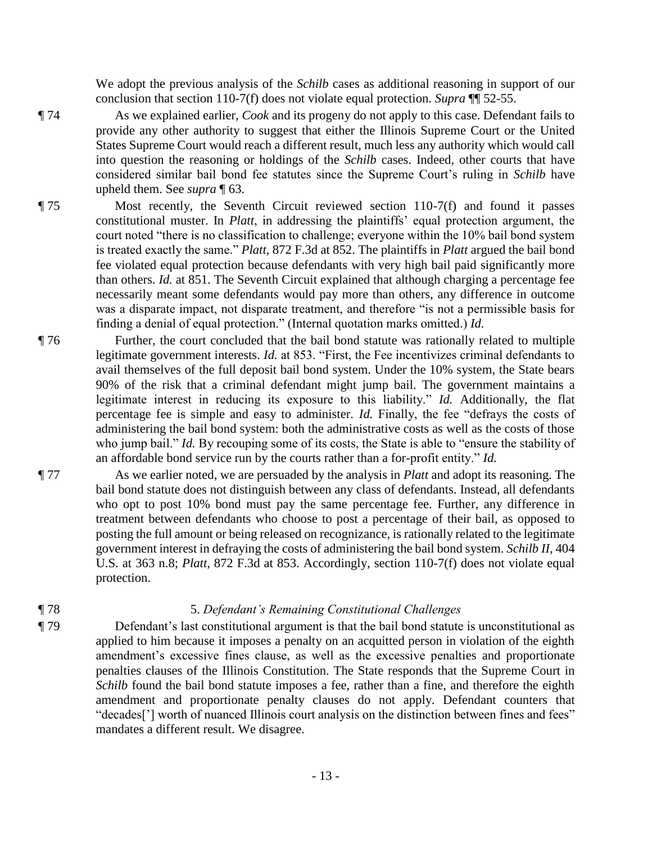We adopt the previous analysis of the *Schilb* cases as additional reasoning in support of our conclusion that section 110-7(f) does not violate equal protection. *Supra* ¶¶ 52-55.

¶ 74 As we explained earlier, *Cook* and its progeny do not apply to this case. Defendant fails to provide any other authority to suggest that either the Illinois Supreme Court or the United States Supreme Court would reach a different result, much less any authority which would call into question the reasoning or holdings of the *Schilb* cases. Indeed, other courts that have considered similar bail bond fee statutes since the Supreme Court's ruling in *Schilb* have upheld them. See *supra* ¶ 63.

¶ 75 Most recently, the Seventh Circuit reviewed section 110-7(f) and found it passes constitutional muster. In *Platt*, in addressing the plaintiffs' equal protection argument, the court noted "there is no classification to challenge; everyone within the 10% bail bond system is treated exactly the same." *Platt*, 872 F.3d at 852. The plaintiffs in *Platt* argued the bail bond fee violated equal protection because defendants with very high bail paid significantly more than others. *Id.* at 851. The Seventh Circuit explained that although charging a percentage fee necessarily meant some defendants would pay more than others, any difference in outcome was a disparate impact, not disparate treatment, and therefore "is not a permissible basis for finding a denial of equal protection." (Internal quotation marks omitted.) *Id.*

- ¶ 76 Further, the court concluded that the bail bond statute was rationally related to multiple legitimate government interests. *Id.* at 853. "First, the Fee incentivizes criminal defendants to avail themselves of the full deposit bail bond system. Under the 10% system, the State bears 90% of the risk that a criminal defendant might jump bail. The government maintains a legitimate interest in reducing its exposure to this liability." *Id.* Additionally, the flat percentage fee is simple and easy to administer. *Id.* Finally, the fee "defrays the costs of administering the bail bond system: both the administrative costs as well as the costs of those who jump bail." *Id.* By recouping some of its costs, the State is able to "ensure the stability of an affordable bond service run by the courts rather than a for-profit entity." *Id.*
- ¶ 77 As we earlier noted, we are persuaded by the analysis in *Platt* and adopt its reasoning. The bail bond statute does not distinguish between any class of defendants. Instead, all defendants who opt to post 10% bond must pay the same percentage fee. Further, any difference in treatment between defendants who choose to post a percentage of their bail, as opposed to posting the full amount or being released on recognizance, is rationally related to the legitimate government interest in defraying the costs of administering the bail bond system. *Schilb II*, 404 U.S. at 363 n.8; *Platt*, 872 F.3d at 853. Accordingly, section 110-7(f) does not violate equal protection.

# ¶ 78 5. *Defendant's Remaining Constitutional Challenges*

¶ 79 Defendant's last constitutional argument is that the bail bond statute is unconstitutional as applied to him because it imposes a penalty on an acquitted person in violation of the eighth amendment's excessive fines clause, as well as the excessive penalties and proportionate penalties clauses of the Illinois Constitution. The State responds that the Supreme Court in *Schilb* found the bail bond statute imposes a fee, rather than a fine, and therefore the eighth amendment and proportionate penalty clauses do not apply. Defendant counters that "decades['] worth of nuanced Illinois court analysis on the distinction between fines and fees" mandates a different result. We disagree.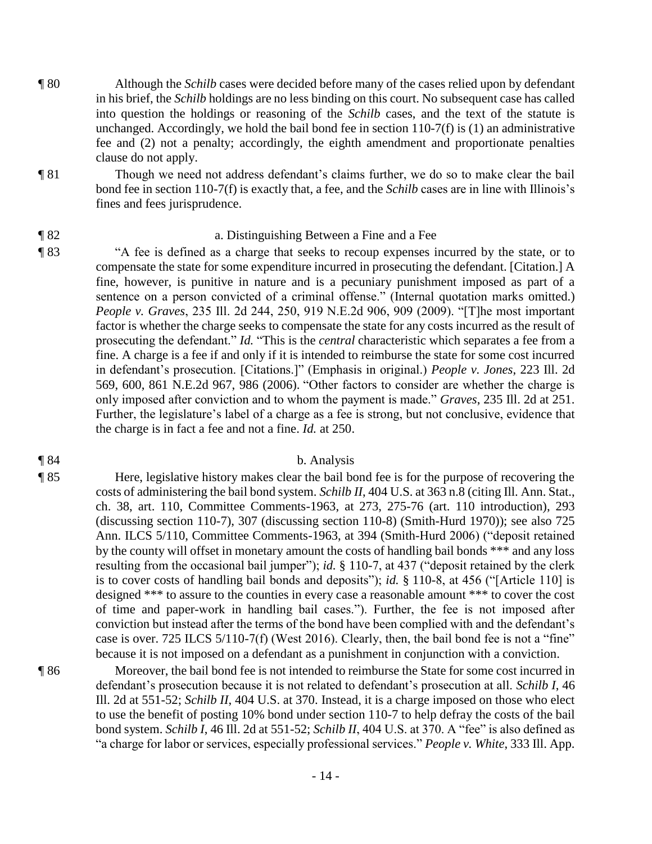- ¶ 80 Although the *Schilb* cases were decided before many of the cases relied upon by defendant in his brief, the *Schilb* holdings are no less binding on this court. No subsequent case has called into question the holdings or reasoning of the *Schilb* cases, and the text of the statute is unchanged. Accordingly, we hold the bail bond fee in section  $110-7(f)$  is (1) an administrative fee and (2) not a penalty; accordingly, the eighth amendment and proportionate penalties clause do not apply.
- ¶ 81 Though we need not address defendant's claims further, we do so to make clear the bail bond fee in section 110-7(f) is exactly that, a fee, and the *Schilb* cases are in line with Illinois's fines and fees jurisprudence.

# ¶ 82 a. Distinguishing Between a Fine and a Fee

¶ 83 "A fee is defined as a charge that seeks to recoup expenses incurred by the state, or to compensate the state for some expenditure incurred in prosecuting the defendant. [Citation.] A fine, however, is punitive in nature and is a pecuniary punishment imposed as part of a sentence on a person convicted of a criminal offense." (Internal quotation marks omitted.) *People v. Graves*, 235 Ill. 2d 244, 250, 919 N.E.2d 906, 909 (2009). "[T]he most important factor is whether the charge seeks to compensate the state for any costs incurred as the result of prosecuting the defendant." *Id.* "This is the *central* characteristic which separates a fee from a fine. A charge is a fee if and only if it is intended to reimburse the state for some cost incurred in defendant's prosecution. [Citations.]" (Emphasis in original.) *People v. Jones*, 223 Ill. 2d 569, 600, 861 N.E.2d 967, 986 (2006). "Other factors to consider are whether the charge is only imposed after conviction and to whom the payment is made." *Graves*, 235 Ill. 2d at 251. Further, the legislature's label of a charge as a fee is strong, but not conclusive, evidence that the charge is in fact a fee and not a fine. *Id.* at 250.

### ¶ 84 b. Analysis

¶ 85 Here, legislative history makes clear the bail bond fee is for the purpose of recovering the costs of administering the bail bond system. *Schilb II*, 404 U.S. at 363 n.8 (citing Ill. Ann. Stat., ch. 38, art. 110, Committee Comments-1963, at 273, 275-76 (art. 110 introduction), 293 (discussing section 110-7), 307 (discussing section 110-8) (Smith-Hurd 1970)); see also 725 Ann. ILCS 5/110, Committee Comments-1963, at 394 (Smith-Hurd 2006) ("deposit retained by the county will offset in monetary amount the costs of handling bail bonds \*\*\* and any loss resulting from the occasional bail jumper"); *id.* § 110-7, at 437 ("deposit retained by the clerk is to cover costs of handling bail bonds and deposits"); *id.* § 110-8, at 456 ("[Article 110] is designed \*\*\* to assure to the counties in every case a reasonable amount \*\*\* to cover the cost of time and paper-work in handling bail cases."). Further, the fee is not imposed after conviction but instead after the terms of the bond have been complied with and the defendant's case is over. 725 ILCS 5/110-7(f) (West 2016). Clearly, then, the bail bond fee is not a "fine" because it is not imposed on a defendant as a punishment in conjunction with a conviction.

¶ 86 Moreover, the bail bond fee is not intended to reimburse the State for some cost incurred in defendant's prosecution because it is not related to defendant's prosecution at all. *Schilb I*, 46 Ill. 2d at 551-52; *Schilb II*, 404 U.S. at 370. Instead, it is a charge imposed on those who elect to use the benefit of posting 10% bond under section 110-7 to help defray the costs of the bail bond system. *Schilb I*, 46 Ill. 2d at 551-52; *Schilb II*, 404 U.S. at 370. A "fee" is also defined as "a charge for labor or services, especially professional services." *People v. White*, 333 Ill. App.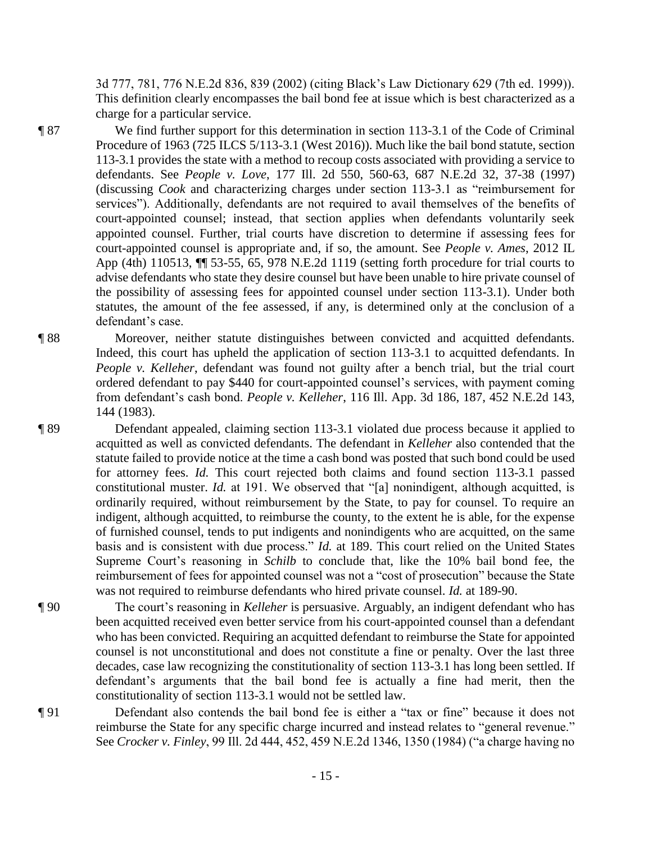3d 777, 781, 776 N.E.2d 836, 839 (2002) (citing Black's Law Dictionary 629 (7th ed. 1999)). This definition clearly encompasses the bail bond fee at issue which is best characterized as a charge for a particular service.

- ¶ 87 We find further support for this determination in section 113-3.1 of the Code of Criminal Procedure of 1963 (725 ILCS 5/113-3.1 (West 2016)). Much like the bail bond statute, section 113-3.1 provides the state with a method to recoup costs associated with providing a service to defendants. See *People v. Love*, 177 Ill. 2d 550, 560-63, 687 N.E.2d 32, 37-38 (1997) (discussing *Cook* and characterizing charges under section 113-3.1 as "reimbursement for services"). Additionally, defendants are not required to avail themselves of the benefits of court-appointed counsel; instead, that section applies when defendants voluntarily seek appointed counsel. Further, trial courts have discretion to determine if assessing fees for court-appointed counsel is appropriate and, if so, the amount. See *People v. Ames*, 2012 IL App (4th) 110513, ¶¶ 53-55, 65, 978 N.E.2d 1119 (setting forth procedure for trial courts to advise defendants who state they desire counsel but have been unable to hire private counsel of the possibility of assessing fees for appointed counsel under section 113-3.1). Under both statutes, the amount of the fee assessed, if any, is determined only at the conclusion of a defendant's case.
- ¶ 88 Moreover, neither statute distinguishes between convicted and acquitted defendants. Indeed, this court has upheld the application of section 113-3.1 to acquitted defendants. In *People v. Kelleher*, defendant was found not guilty after a bench trial, but the trial court ordered defendant to pay \$440 for court-appointed counsel's services, with payment coming from defendant's cash bond. *People v. Kelleher*, 116 Ill. App. 3d 186, 187, 452 N.E.2d 143, 144 (1983).
- ¶ 89 Defendant appealed, claiming section 113-3.1 violated due process because it applied to acquitted as well as convicted defendants. The defendant in *Kelleher* also contended that the statute failed to provide notice at the time a cash bond was posted that such bond could be used for attorney fees. *Id.* This court rejected both claims and found section 113-3.1 passed constitutional muster. *Id.* at 191. We observed that "[a] nonindigent, although acquitted, is ordinarily required, without reimbursement by the State, to pay for counsel. To require an indigent, although acquitted, to reimburse the county, to the extent he is able, for the expense of furnished counsel, tends to put indigents and nonindigents who are acquitted, on the same basis and is consistent with due process." *Id.* at 189. This court relied on the United States Supreme Court's reasoning in *Schilb* to conclude that, like the 10% bail bond fee, the reimbursement of fees for appointed counsel was not a "cost of prosecution" because the State was not required to reimburse defendants who hired private counsel. *Id.* at 189-90.
- ¶ 90 The court's reasoning in *Kelleher* is persuasive. Arguably, an indigent defendant who has been acquitted received even better service from his court-appointed counsel than a defendant who has been convicted. Requiring an acquitted defendant to reimburse the State for appointed counsel is not unconstitutional and does not constitute a fine or penalty. Over the last three decades, case law recognizing the constitutionality of section 113-3.1 has long been settled. If defendant's arguments that the bail bond fee is actually a fine had merit, then the constitutionality of section 113-3.1 would not be settled law.
- ¶ 91 Defendant also contends the bail bond fee is either a "tax or fine" because it does not reimburse the State for any specific charge incurred and instead relates to "general revenue." See *Crocker v. Finley*, 99 Ill. 2d 444, 452, 459 N.E.2d 1346, 1350 (1984) ("a charge having no